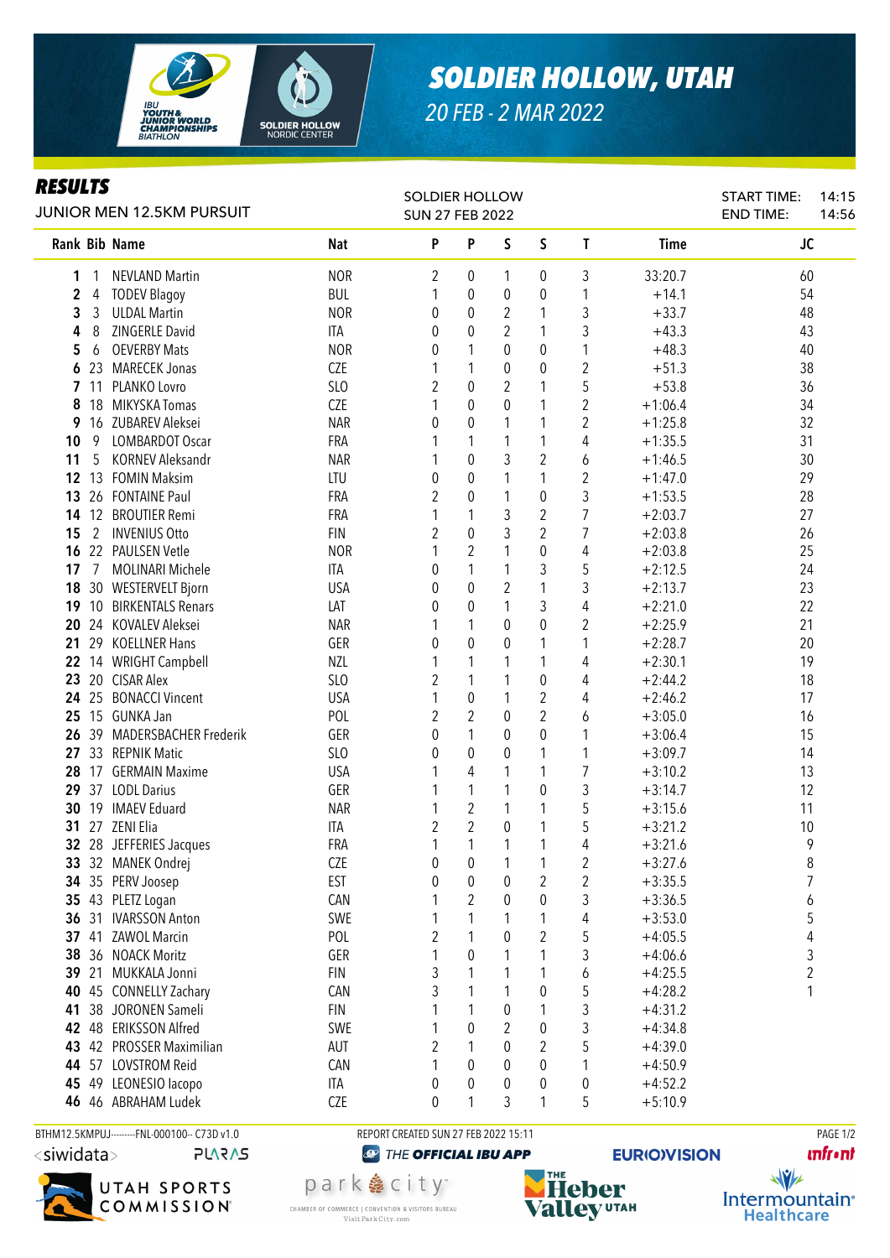

## *SOLDIER HOLLOW, UTAH*

*20 FEB - 2 MAR 2022*

## *RESULTS*

| JUNIOR MEN 12.5KM PURSUIT |     |                          |            | SOLDIER HOLLOW<br><b>SUN 27 FEB 2022</b> |                |              |                |                         |             | <b>START TIME:</b><br><b>END TIME:</b> | 14:15<br>14:56 |
|---------------------------|-----|--------------------------|------------|------------------------------------------|----------------|--------------|----------------|-------------------------|-------------|----------------------------------------|----------------|
|                           |     | Rank Bib Name            | <b>Nat</b> | P                                        | P              | S            | S              | $\mathbf{I}$            | <b>Time</b> | JC                                     |                |
| 1                         |     | <b>NEVLAND Martin</b>    | <b>NOR</b> | 2                                        | 0              | 1            | 0              | 3                       | 33:20.7     | 60                                     |                |
| 2                         | 4   | <b>TODEV Blagoy</b>      | <b>BUL</b> |                                          | 0              | 0            | 0              | 1                       | $+14.1$     | 54                                     |                |
| 3                         | 3   | <b>ULDAL Martin</b>      | <b>NOR</b> | 0                                        | 0              | 2            | 1              | 3                       | $+33.7$     | 48                                     |                |
| 4                         | 8   | ZINGERLE David           | ITA        | 0                                        | 0              | 2            | 1              | 3                       | $+43.3$     | 43                                     |                |
| 5                         | 6   | <b>OEVERBY Mats</b>      | <b>NOR</b> | 0                                        | 1              | 0            | 0              | 1                       | $+48.3$     | 40                                     |                |
| 6                         |     | 23 MARECEK Jonas         | <b>CZE</b> | 1                                        | 1              | 0            | 0              | $\overline{\mathbf{c}}$ | $+51.3$     | 38                                     |                |
|                           | 711 | PLANKO Lovro             | SLO        | 2                                        | 0              | 2            | 1              | 5                       | $+53.8$     | 36                                     |                |
| 8                         | 18  | MIKYSKA Tomas            | <b>CZE</b> | 1                                        | 0              | $\mathbf{0}$ | 1              | $\overline{\mathbf{c}}$ | $+1:06.4$   | 34                                     |                |
| 9                         | 16  | ZUBAREV Aleksei          | <b>NAR</b> | 0                                        | 0              | 1            | 1              | $\sqrt{2}$              | $+1:25.8$   | 32                                     |                |
| 10                        | 9   | <b>LOMBARDOT Oscar</b>   | FRA        |                                          | 1              | 1            | 1              | 4                       | $+1:35.5$   | 31                                     |                |
| 11                        | 5   | <b>KORNEV Aleksandr</b>  | <b>NAR</b> |                                          | $\mathbf 0$    | 3            | $\overline{2}$ | 6                       | $+1:46.5$   | 30                                     |                |
| 12                        |     | 13 FOMIN Maksim          | LTU        | 0                                        | $\mathbf 0$    | 1            | 1              | $\overline{2}$          | $+1:47.0$   | 29                                     |                |
| 13                        |     | 26 FONTAINE Paul         | FRA        | $\overline{2}$                           | 0              | 1            | 0              | 3                       | $+1:53.5$   | 28                                     |                |
| 14                        |     | 12 BROUTIER Remi         | FRA        |                                          | 1              | 3            | 2              | $\overline{7}$          | $+2:03.7$   | 27                                     |                |
| 15                        | 2   | <b>INVENIUS Otto</b>     | <b>FIN</b> | $\overline{2}$                           | $\mathbf 0$    | 3            | $\overline{2}$ | 7                       | $+2:03.8$   | 26                                     |                |
| 16                        | 22  | PAULSEN Vetle            | <b>NOR</b> |                                          | $\overline{2}$ | 1            | $\mathbf 0$    | 4                       | $+2:03.8$   | 25                                     |                |
| 17                        | 7   | <b>MOLINARI Michele</b>  | ITA        | 0                                        | $\mathbf{1}$   | 1            | 3              | 5                       | $+2:12.5$   | 24                                     |                |
| 18                        |     | 30 WESTERVELT Bjorn      | <b>USA</b> | 0                                        | 0              | 2            | 1              | 3                       | $+2:13.7$   | 23                                     |                |
| 19                        |     | 10 BIRKENTALS Renars     | LAT        | 0                                        | 0              | 1            | 3              | 4                       | $+2:21.0$   | 22                                     |                |
| 20                        |     | 24 KOVALEV Aleksei       | <b>NAR</b> |                                          | 1              | 0            | $\mathbf 0$    | $\overline{2}$          | $+2:25.9$   | 21                                     |                |
|                           |     | 21 29 KOELLNER Hans      | GER        | 0                                        | $\theta$       | 0            | 1              | 1                       | $+2:28.7$   | 20                                     |                |
|                           |     | 22 14 WRIGHT Campbell    | <b>NZL</b> |                                          | 1              | 1            | 1              | 4                       | $+2:30.1$   | 19                                     |                |
|                           |     | 23 20 CISAR Alex         | SLO        | 2                                        | 1              | 1            | $\mathbf 0$    | 4                       | $+2:44.2$   | 18                                     |                |
|                           |     | 24 25 BONACCI Vincent    | <b>USA</b> | 1                                        | 0              | 1            | 2              | 4                       | $+2:46.2$   | 17                                     |                |
|                           |     | 25 15 GUNKA Jan          | POL        | 2                                        | 2              | $\theta$     | $\overline{2}$ | 6                       | $+3:05.0$   | 16                                     |                |
| 26                        |     | 39 MADERSBACHER Frederik | GER        | 0                                        | 1              | 0            | 0              | 1                       | $+3:06.4$   | 15                                     |                |
| 27                        |     | 33 REPNIK Matic          | SLO        | 0                                        | 0              | 0            | 1              | 1                       | $+3:09.7$   | 14                                     |                |
| 28                        |     | 17 GERMAIN Maxime        | <b>USA</b> | 1                                        | 4              | 1            | 1              | $\overline{7}$          | $+3:10.2$   | 13                                     |                |
| 29                        |     | 37 LODL Darius           | GER        | 1                                        | 1              | 1            | 0              | 3                       | $+3:14.7$   | 12                                     |                |
|                           |     | 30 19 IMAEV Eduard       | <b>NAR</b> | 1                                        | $\overline{2}$ | 1            | 1              | 5                       | $+3:15.6$   | 11                                     |                |
|                           |     | <b>31</b> 27 ZENI Elia   | <b>ITA</b> | 2                                        | $\overline{2}$ | $\theta$     | 1              | 5                       | $+3:21.2$   | 10                                     |                |
|                           |     | 32 28 JEFFERIES Jacques  | FRA        |                                          | 1              | 1            | 1              | 4                       | $+3:21.6$   | 9                                      |                |
|                           |     | 33 32 MANEK Ondrej       | CZE        | 0                                        | 0              | $\mathbf{1}$ | $\mathbf{1}$   | $\sqrt{2}$              | $+3:27.6$   | 8                                      |                |
|                           |     | 34 35 PERV Joosep        | <b>EST</b> | 0                                        | $\pmb{0}$      | 0            | 2              | $\overline{\mathbf{c}}$ | $+3:35.5$   | $\overline{7}$                         |                |
|                           |     | 35 43 PLETZ Logan        | CAN        |                                          | $\overline{2}$ | 0            | 0              | 3                       | $+3:36.5$   | 6                                      |                |
| 36                        | 31  | <b>IVARSSON Anton</b>    | SWE        |                                          | 1              |              | 1              | 4                       | $+3:53.0$   | 5                                      |                |
| 37                        | 41  | <b>ZAWOL Marcin</b>      | POL        | 2                                        | 1              | 0            | $\overline{c}$ | 5                       | $+4:05.5$   | 4                                      |                |
| 38                        |     | 36 NOACK Moritz          | GER        | 1                                        | 0              | 1            | 1              | 3                       | $+4:06.6$   | 3                                      |                |
| 39                        | 21  | MUKKALA Jonni            | <b>FIN</b> | 3                                        | 1              | 1            | 1              | 6                       | $+4:25.5$   | $\boldsymbol{2}$                       |                |
| 40                        | 45  | <b>CONNELLY Zachary</b>  | CAN        | 3                                        | 1              | 1            | $\pmb{0}$      | 5                       | $+4:28.2$   | 1                                      |                |
| 41                        |     | 38 JORONEN Sameli        | <b>FIN</b> |                                          | 1              | 0            | 1              | 3                       | $+4:31.2$   |                                        |                |
| 42                        |     | 48 ERIKSSON Alfred       | SWE        |                                          | 0              | 2            | $\pmb{0}$      | 3                       | $+4:34.8$   |                                        |                |
| 43                        |     | 42 PROSSER Maximilian    | AUT        | 2                                        | 1              | 0            | 2              | 5                       | $+4:39.0$   |                                        |                |
| 44                        |     | 57 LOVSTROM Reid         | CAN        | 1                                        | 0              | 0            | 0              | 1                       | $+4:50.9$   |                                        |                |
| 45                        |     | 49 LEONESIO lacopo       | ITA        | 0                                        | 0              | 0            | 0              | 0                       | $+4:52.2$   |                                        |                |
|                           |     | 46 46 ABRAHAM Ludek      | CZE        | 0                                        | 1              | 3            | 1              | 5                       | $+5:10.9$   |                                        |                |

BTHM12.5KMPUJ--------FNL-000100-- C73D v1.0 REPORT CREATED SUN 27 FEB 2022 15:11 REPORT CREATED SUN 27 FEB 2022 15:11 **PLARAS** 



park 急 city<sup>®</sup>

CHAMBER OF COMMERCE | CONVENTION & VISITORS BUREAU

Visit Park City.com

<sup><sup>2</sup> THE OFFICIAL IBU APP</sup>

THE **Heber Valley UTAH**